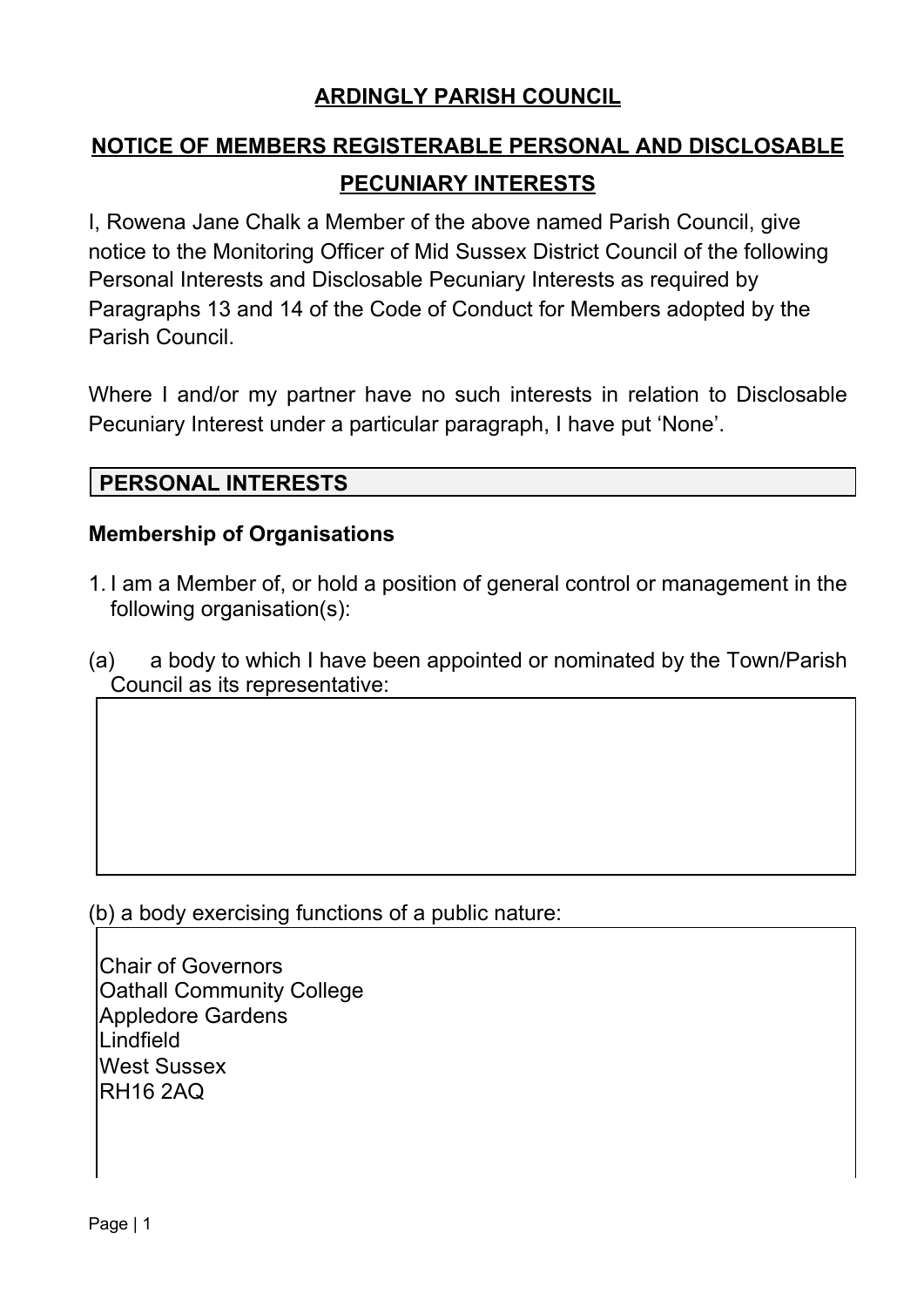### **ARDINGLY PARISH COUNCIL**

# **NOTICE OF MEMBERS REGISTERABLE PERSONAL AND DISCLOSABLE PECUNIARY INTERESTS**

I, Rowena Jane Chalk a Member of the above named Parish Council, give notice to the Monitoring Officer of Mid Sussex District Council of the following Personal Interests and Disclosable Pecuniary Interests as required by Paragraphs 13 and 14 of the Code of Conduct for Members adopted by the Parish Council.

Where I and/or my partner have no such interests in relation to Disclosable Pecuniary Interest under a particular paragraph, I have put 'None'.

### **PERSONAL INTERESTS**

#### **Membership of Organisations**

- 1. I am a Member of, or hold a position of general control or management in the following organisation(s):
- (a) a body to which I have been appointed or nominated by the Town/Parish Council as its representative:

(b) a body exercising functions of a public nature:

Chair of Governors Oathall Community College Appledore Gardens Lindfield West Sussex RH16 2AQ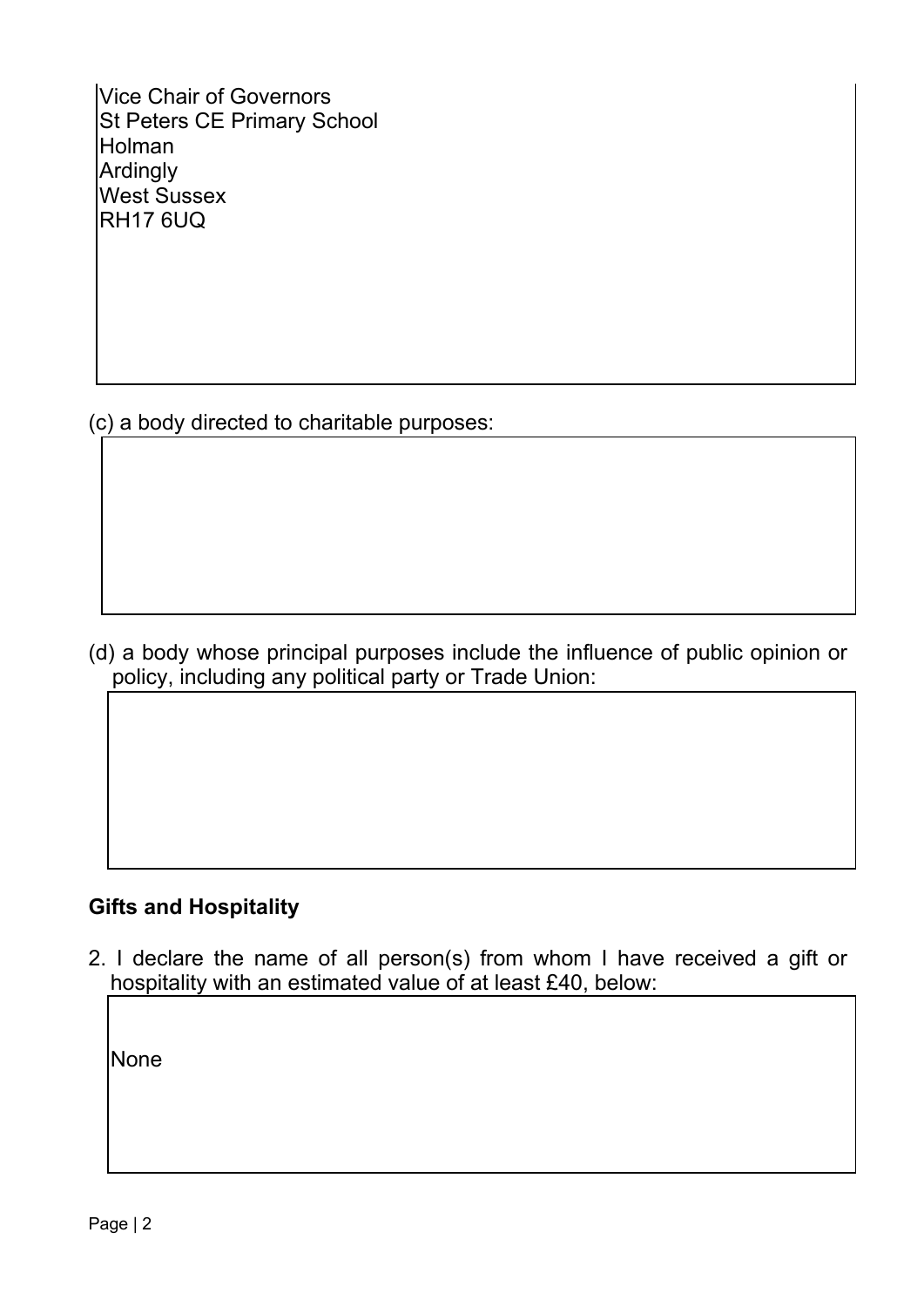Vice Chair of Governors St Peters CE Primary School **Holman** Ardingly West Sussex RH17 6UQ

(c) a body directed to charitable purposes:

(d) a body whose principal purposes include the influence of public opinion or policy, including any political party or Trade Union:

### **Gifts and Hospitality**

2. I declare the name of all person(s) from whom I have received a gift or hospitality with an estimated value of at least £40, below:

**None**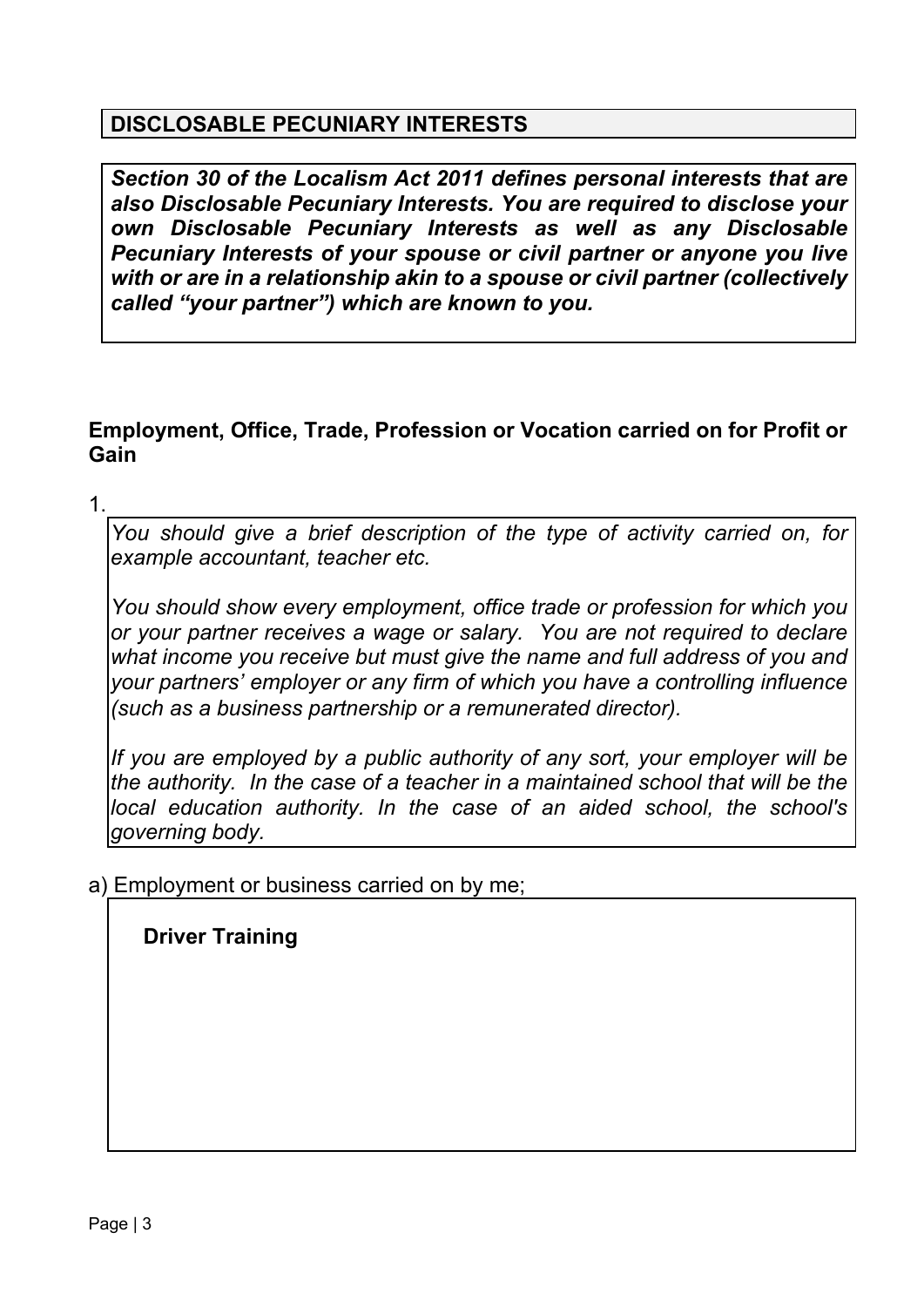#### **DISCLOSABLE PECUNIARY INTERESTS**

*Section 30 of the Localism Act 2011 defines personal interests that are also Disclosable Pecuniary Interests. You are required to disclose your own Disclosable Pecuniary Interests as well as any Disclosable Pecuniary Interests of your spouse or civil partner or anyone you live with or are in a relationship akin to a spouse or civil partner (collectively called "your partner") which are known to you.*

#### **Employment, Office, Trade, Profession or Vocation carried on for Profit or Gain**

1.

*You should give a brief description of the type of activity carried on, for example accountant, teacher etc.*

*You should show every employment, office trade or profession for which you or your partner receives a wage or salary. You are not required to declare what income you receive but must give the name and full address of you and your partners' employer or any firm of which you have a controlling influence (such as a business partnership or a remunerated director).*

*If you are employed by a public authority of any sort, your employer will be the authority. In the case of a teacher in a maintained school that will be the local education authority. In the case of an aided school, the school's governing body.*

a) Employment or business carried on by me;

**Driver Training**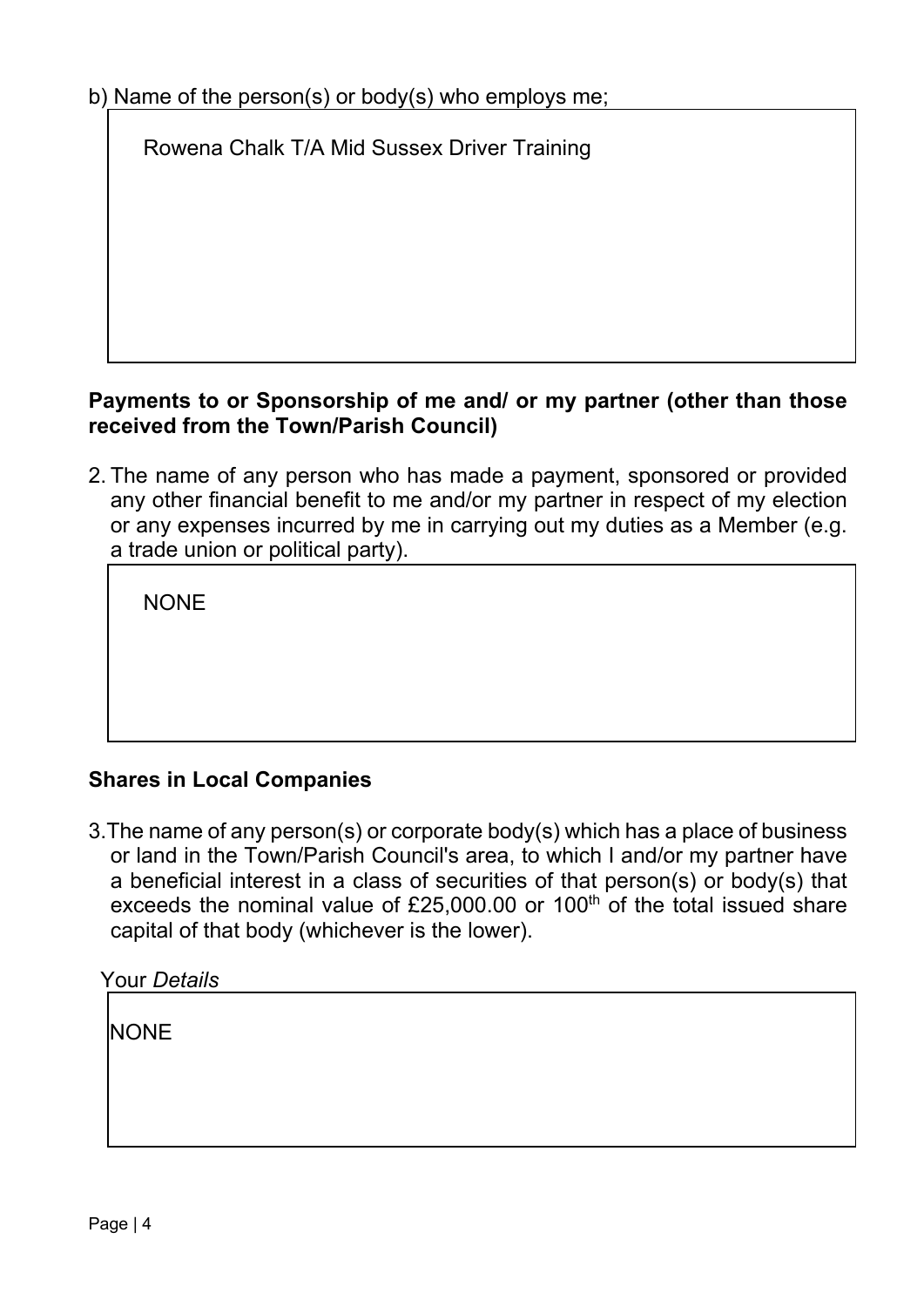b) Name of the person(s) or body(s) who employs me;

Rowena Chalk T/A Mid Sussex Driver Training

#### **Payments to or Sponsorship of me and/ or my partner (other than those received from the Town/Parish Council)**

2. The name of any person who has made a payment, sponsored or provided any other financial benefit to me and/or my partner in respect of my election or any expenses incurred by me in carrying out my duties as a Member (e.g. a trade union or political party).

NONE

### **Shares in Local Companies**

3.The name of any person(s) or corporate body(s) which has a place of business or land in the Town/Parish Council's area, to which I and/or my partner have a beneficial interest in a class of securities of that person(s) or body(s) that exceeds the nominal value of £25,000.00 or 100<sup>th</sup> of the total issued share capital of that body (whichever is the lower).

| <b>Your Details</b> |  |
|---------------------|--|
|                     |  |
| <b>NONE</b>         |  |
|                     |  |
|                     |  |
|                     |  |
|                     |  |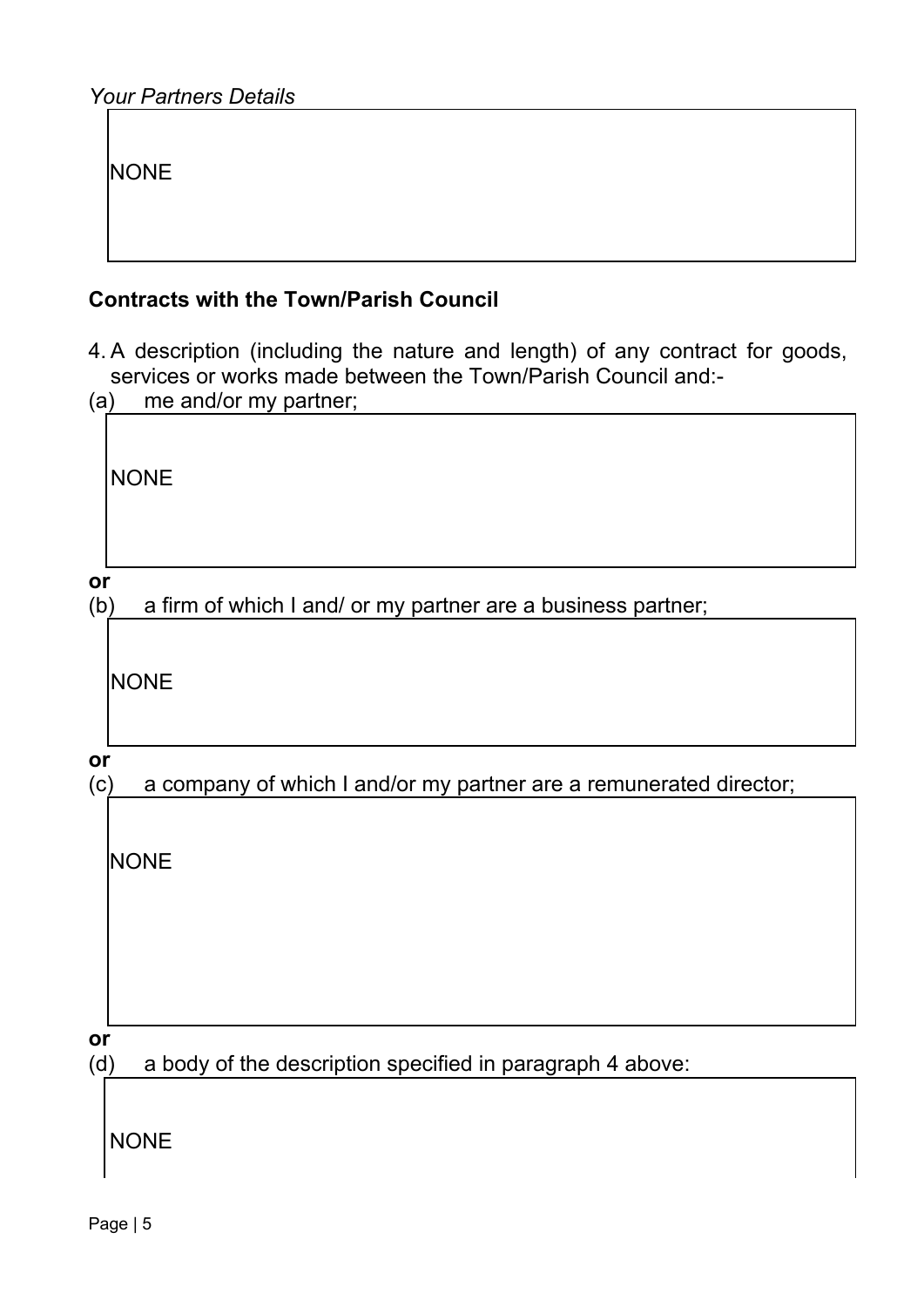**NONE** 

#### **Contracts with the Town/Parish Council**

4. A description (including the nature and length) of any contract for goods, services or works made between the Town/Parish Council and:-

| (a) | me and/or my partner;                                              |
|-----|--------------------------------------------------------------------|
|     | <b>NONE</b>                                                        |
| or  |                                                                    |
| (b) | a firm of which I and/ or my partner are a business partner;       |
|     | <b>NONE</b>                                                        |
| or  |                                                                    |
| (c) | a company of which I and/or my partner are a remunerated director; |
|     | <b>NONE</b>                                                        |

**or**

(d) a body of the description specified in paragraph 4 above:

NONE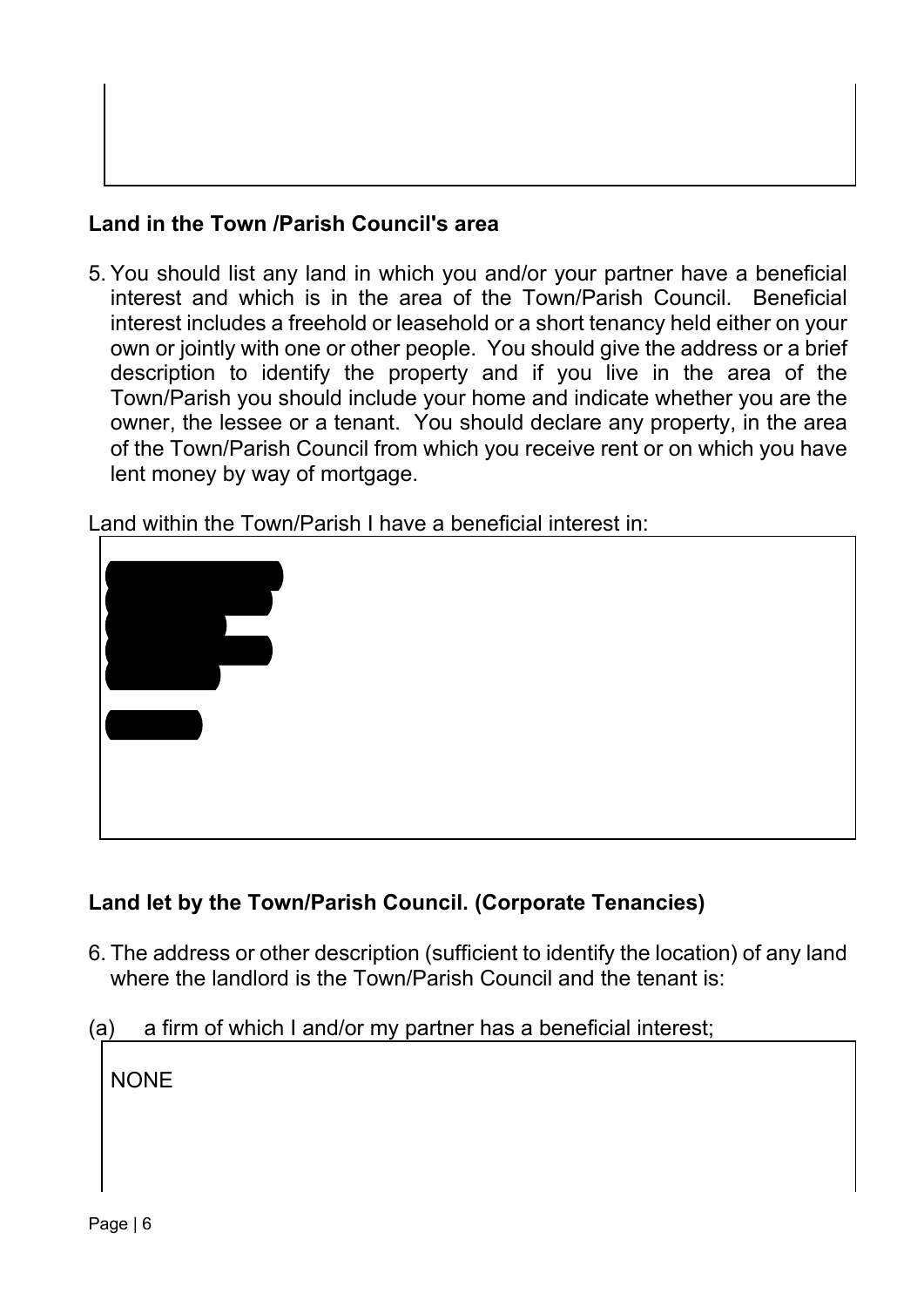### **Land in the Town /Parish Council's area**

5. You should list any land in which you and/or your partner have a beneficial interest and which is in the area of the Town/Parish Council. Beneficial interest includes a freehold or leasehold or a short tenancy held either on your own or jointly with one or other people. You should give the address or a brief description to identify the property and if you live in the area of the Town/Parish you should include your home and indicate whether you are the owner, the lessee or a tenant. You should declare any property, in the area of the Town/Parish Council from which you receive rent or on which you have lent money by way of mortgage.

Land within the Town/Parish I have a beneficial interest in:



### **Land let by the Town/Parish Council. (Corporate Tenancies)**

- 6. The address or other description (sufficient to identify the location) of any land where the landlord is the Town/Parish Council and the tenant is:
- (a) a firm of which I and/or my partner has a beneficial interest;

**NONE**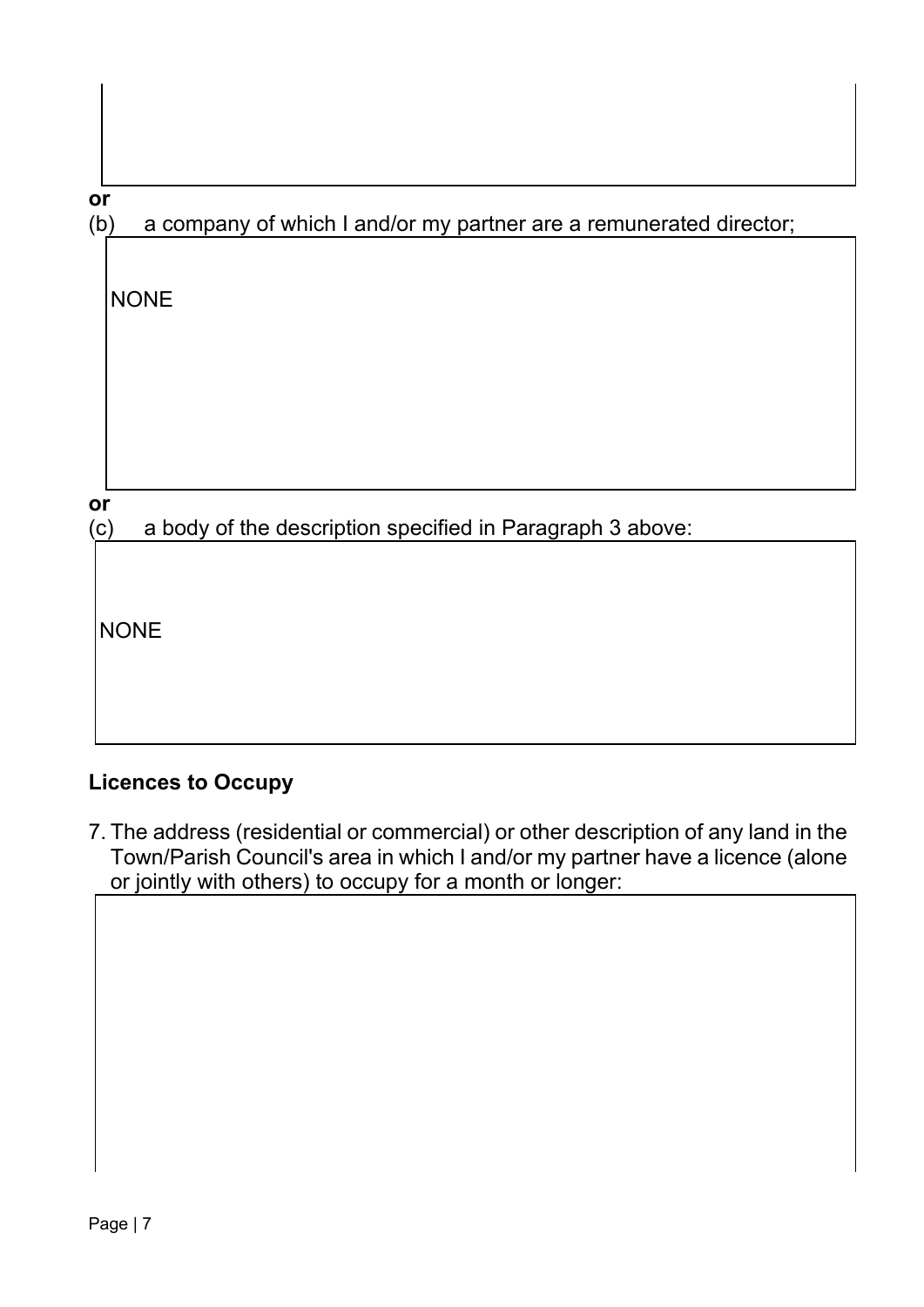| I           | ۰, |
|-------------|----|
| ÷<br>v<br>٠ |    |

(b) a company of which I and/or my partner are a remunerated director;

**or**

(c) a body of the description specified in Paragraph 3 above:

**NONE** 

# **Licences to Occupy**

7. The address (residential or commercial) or other description of any land in the Town/Parish Council's area in which I and/or my partner have a licence (alone or jointly with others) to occupy for a month or longer: